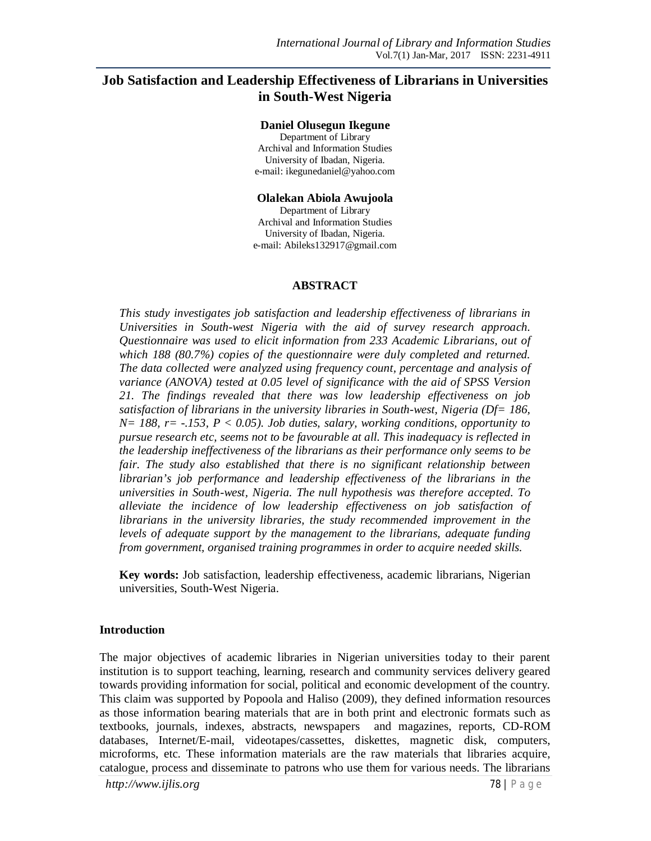# **Job Satisfaction and Leadership Effectiveness of Librarians in Universities in South-West Nigeria**

#### **Daniel Olusegun Ikegune**

Department of Library Archival and Information Studies University of Ibadan, Nigeria. e-mail: ikegunedaniel@yahoo.com

#### **Olalekan Abiola Awujoola**

Department of Library Archival and Information Studies University of Ibadan, Nigeria. e-mail: Abileks132917@gmail.com

#### **ABSTRACT**

*This study investigates job satisfaction and leadership effectiveness of librarians in Universities in South-west Nigeria with the aid of survey research approach. Questionnaire was used to elicit information from 233 Academic Librarians, out of which 188 (80.7%) copies of the questionnaire were duly completed and returned. The data collected were analyzed using frequency count, percentage and analysis of variance (ANOVA) tested at 0.05 level of significance with the aid of SPSS Version 21. The findings revealed that there was low leadership effectiveness on job satisfaction of librarians in the university libraries in South-west, Nigeria (Df= 186, N= 188, r= -.153, P < 0.05). Job duties, salary, working conditions, opportunity to pursue research etc, seems not to be favourable at all. This inadequacy is reflected in the leadership ineffectiveness of the librarians as their performance only seems to be fair. The study also established that there is no significant relationship between librarian's job performance and leadership effectiveness of the librarians in the universities in South-west, Nigeria. The null hypothesis was therefore accepted. To alleviate the incidence of low leadership effectiveness on job satisfaction of librarians in the university libraries, the study recommended improvement in the levels of adequate support by the management to the librarians, adequate funding from government, organised training programmes in order to acquire needed skills.*

**Key words:** Job satisfaction, leadership effectiveness, academic librarians, Nigerian universities, South-West Nigeria.

#### **Introduction**

The major objectives of academic libraries in Nigerian universities today to their parent institution is to support teaching, learning, research and community services delivery geared towards providing information for social, political and economic development of the country. This claim was supported by Popoola and Haliso (2009), they defined information resources as those information bearing materials that are in both print and electronic formats such as textbooks, journals, indexes, abstracts, newspapers and magazines, reports, CD-ROM databases, Internet/E-mail, videotapes/cassettes, diskettes, magnetic disk, computers, microforms, etc. These information materials are the raw materials that libraries acquire, catalogue, process and disseminate to patrons who use them for various needs. The librarians

*http://www.ijlis.org* 78 | P a g e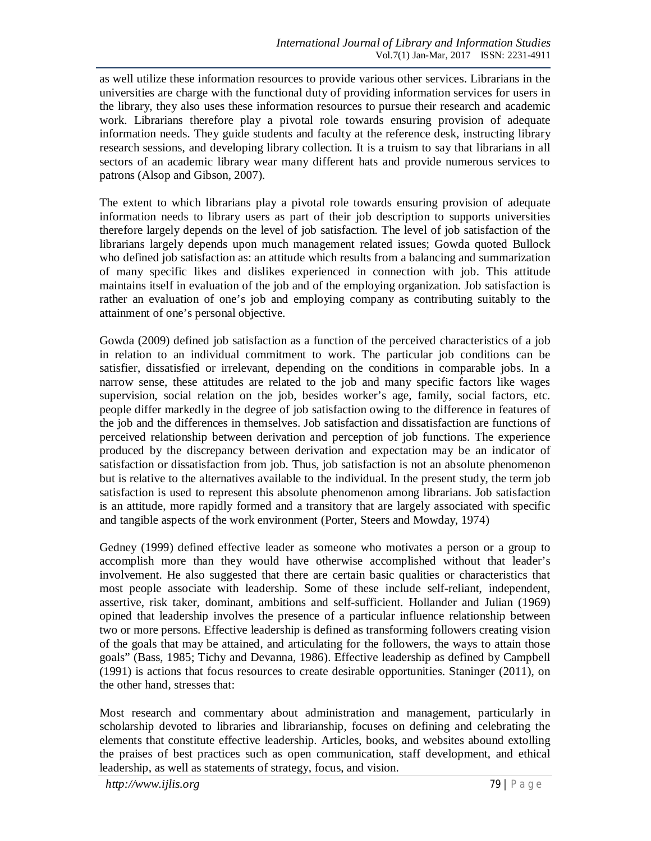as well utilize these information resources to provide various other services. Librarians in the universities are charge with the functional duty of providing information services for users in the library, they also uses these information resources to pursue their research and academic work. Librarians therefore play a pivotal role towards ensuring provision of adequate information needs. They guide students and faculty at the reference desk, instructing library research sessions, and developing library collection. It is a truism to say that librarians in all sectors of an academic library wear many different hats and provide numerous services to patrons (Alsop and Gibson, 2007).

The extent to which librarians play a pivotal role towards ensuring provision of adequate information needs to library users as part of their job description to supports universities therefore largely depends on the level of job satisfaction. The level of job satisfaction of the librarians largely depends upon much management related issues; Gowda quoted Bullock who defined job satisfaction as: an attitude which results from a balancing and summarization of many specific likes and dislikes experienced in connection with job. This attitude maintains itself in evaluation of the job and of the employing organization. Job satisfaction is rather an evaluation of one's job and employing company as contributing suitably to the attainment of one's personal objective.

Gowda (2009) defined job satisfaction as a function of the perceived characteristics of a job in relation to an individual commitment to work. The particular job conditions can be satisfier, dissatisfied or irrelevant, depending on the conditions in comparable jobs. In a narrow sense, these attitudes are related to the job and many specific factors like wages supervision, social relation on the job, besides worker's age, family, social factors, etc. people differ markedly in the degree of job satisfaction owing to the difference in features of the job and the differences in themselves. Job satisfaction and dissatisfaction are functions of perceived relationship between derivation and perception of job functions. The experience produced by the discrepancy between derivation and expectation may be an indicator of satisfaction or dissatisfaction from job. Thus, job satisfaction is not an absolute phenomenon but is relative to the alternatives available to the individual. In the present study, the term job satisfaction is used to represent this absolute phenomenon among librarians. Job satisfaction is an attitude, more rapidly formed and a transitory that are largely associated with specific and tangible aspects of the work environment (Porter, Steers and Mowday, 1974)

Gedney (1999) defined effective leader as someone who motivates a person or a group to accomplish more than they would have otherwise accomplished without that leader's involvement. He also suggested that there are certain basic qualities or characteristics that most people associate with leadership. Some of these include self-reliant, independent, assertive, risk taker, dominant, ambitions and self-sufficient. Hollander and Julian (1969) opined that leadership involves the presence of a particular influence relationship between two or more persons. Effective leadership is defined as transforming followers creating vision of the goals that may be attained, and articulating for the followers, the ways to attain those goals" (Bass, 1985; Tichy and Devanna, 1986). Effective leadership as defined by Campbell (1991) is actions that focus resources to create desirable opportunities. Staninger (2011), on the other hand, stresses that:

Most research and commentary about administration and management, particularly in scholarship devoted to libraries and librarianship, focuses on defining and celebrating the elements that constitute effective leadership. Articles, books, and websites abound extolling the praises of best practices such as open communication, staff development, and ethical leadership, as well as statements of strategy, focus, and vision.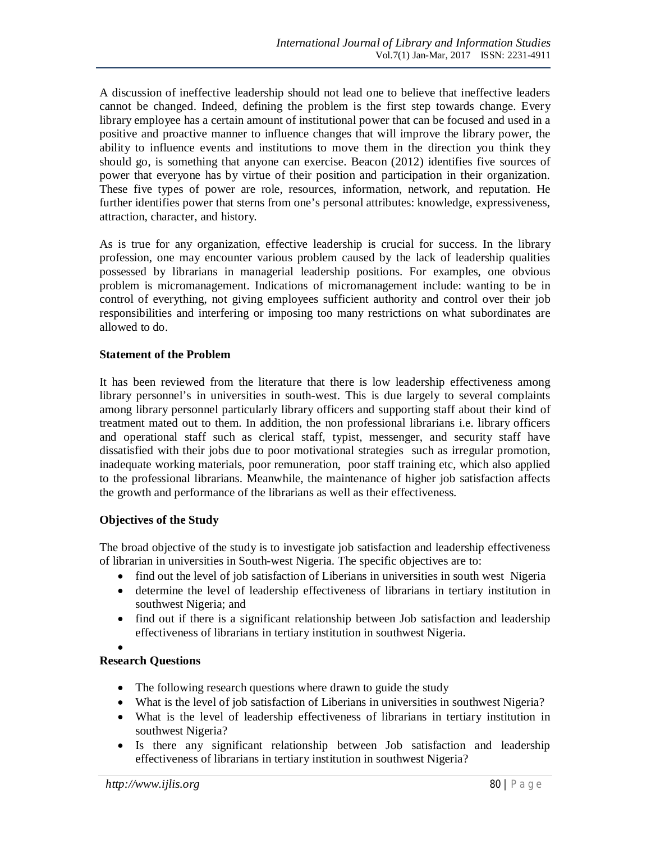A discussion of ineffective leadership should not lead one to believe that ineffective leaders cannot be changed. Indeed, defining the problem is the first step towards change. Every library employee has a certain amount of institutional power that can be focused and used in a positive and proactive manner to influence changes that will improve the library power, the ability to influence events and institutions to move them in the direction you think they should go, is something that anyone can exercise. Beacon (2012) identifies five sources of power that everyone has by virtue of their position and participation in their organization. These five types of power are role, resources, information, network, and reputation. He further identifies power that sterns from one's personal attributes: knowledge, expressiveness, attraction, character, and history.

As is true for any organization, effective leadership is crucial for success. In the library profession, one may encounter various problem caused by the lack of leadership qualities possessed by librarians in managerial leadership positions. For examples, one obvious problem is micromanagement. Indications of micromanagement include: wanting to be in control of everything, not giving employees sufficient authority and control over their job responsibilities and interfering or imposing too many restrictions on what subordinates are allowed to do.

#### **Statement of the Problem**

It has been reviewed from the literature that there is low leadership effectiveness among library personnel's in universities in south-west. This is due largely to several complaints among library personnel particularly library officers and supporting staff about their kind of treatment mated out to them. In addition, the non professional librarians i.e. library officers and operational staff such as clerical staff, typist, messenger, and security staff have dissatisfied with their jobs due to poor motivational strategies such as irregular promotion, inadequate working materials, poor remuneration, poor staff training etc, which also applied to the professional librarians. Meanwhile, the maintenance of higher job satisfaction affects the growth and performance of the librarians as well as their effectiveness.

### **Objectives of the Study**

The broad objective of the study is to investigate job satisfaction and leadership effectiveness of librarian in universities in South-west Nigeria. The specific objectives are to:

- find out the level of job satisfaction of Liberians in universities in south west Nigeria
- determine the level of leadership effectiveness of librarians in tertiary institution in southwest Nigeria; and
- find out if there is a significant relationship between Job satisfaction and leadership effectiveness of librarians in tertiary institution in southwest Nigeria.

 $\bullet$ 

### **Research Questions**

- The following research questions where drawn to guide the study
- What is the level of job satisfaction of Liberians in universities in southwest Nigeria?
- What is the level of leadership effectiveness of librarians in tertiary institution in southwest Nigeria?
- Is there any significant relationship between Job satisfaction and leadership effectiveness of librarians in tertiary institution in southwest Nigeria?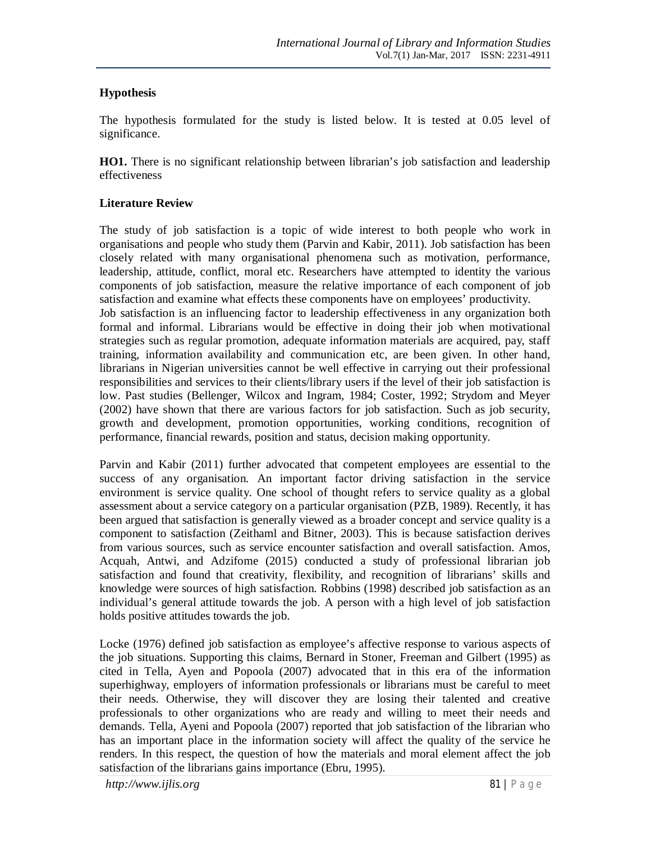### **Hypothesis**

The hypothesis formulated for the study is listed below. It is tested at 0.05 level of significance.

**HO1.** There is no significant relationship between librarian's job satisfaction and leadership effectiveness

#### **Literature Review**

The study of job satisfaction is a topic of wide interest to both people who work in organisations and people who study them (Parvin and Kabir, 2011). Job satisfaction has been closely related with many organisational phenomena such as motivation, performance, leadership, attitude, conflict, moral etc. Researchers have attempted to identity the various components of job satisfaction, measure the relative importance of each component of job satisfaction and examine what effects these components have on employees' productivity. Job satisfaction is an influencing factor to leadership effectiveness in any organization both formal and informal. Librarians would be effective in doing their job when motivational strategies such as regular promotion, adequate information materials are acquired, pay, staff training, information availability and communication etc, are been given. In other hand, librarians in Nigerian universities cannot be well effective in carrying out their professional responsibilities and services to their clients/library users if the level of their job satisfaction is low. Past studies (Bellenger, Wilcox and Ingram, 1984; Coster, 1992; Strydom and Meyer (2002) have shown that there are various factors for job satisfaction. Such as job security, growth and development, promotion opportunities, working conditions, recognition of performance, financial rewards, position and status, decision making opportunity.

Parvin and Kabir (2011) further advocated that competent employees are essential to the success of any organisation. An important factor driving satisfaction in the service environment is service quality. One school of thought refers to service quality as a global assessment about a service category on a particular organisation (PZB, 1989). Recently, it has been argued that satisfaction is generally viewed as a broader concept and service quality is a component to satisfaction (Zeithaml and Bitner, 2003). This is because satisfaction derives from various sources, such as service encounter satisfaction and overall satisfaction. Amos, Acquah, Antwi, and Adzifome (2015) conducted a study of professional librarian job satisfaction and found that creativity, flexibility, and recognition of librarians' skills and knowledge were sources of high satisfaction. Robbins (1998) described job satisfaction as an individual's general attitude towards the job. A person with a high level of job satisfaction holds positive attitudes towards the job.

Locke (1976) defined job satisfaction as employee's affective response to various aspects of the job situations. Supporting this claims, Bernard in Stoner, Freeman and Gilbert (1995) as cited in Tella, Ayen and Popoola (2007) advocated that in this era of the information superhighway, employers of information professionals or librarians must be careful to meet their needs. Otherwise, they will discover they are losing their talented and creative professionals to other organizations who are ready and willing to meet their needs and demands. Tella, Ayeni and Popoola (2007) reported that job satisfaction of the librarian who has an important place in the information society will affect the quality of the service he renders. In this respect, the question of how the materials and moral element affect the job satisfaction of the librarians gains importance (Ebru, 1995).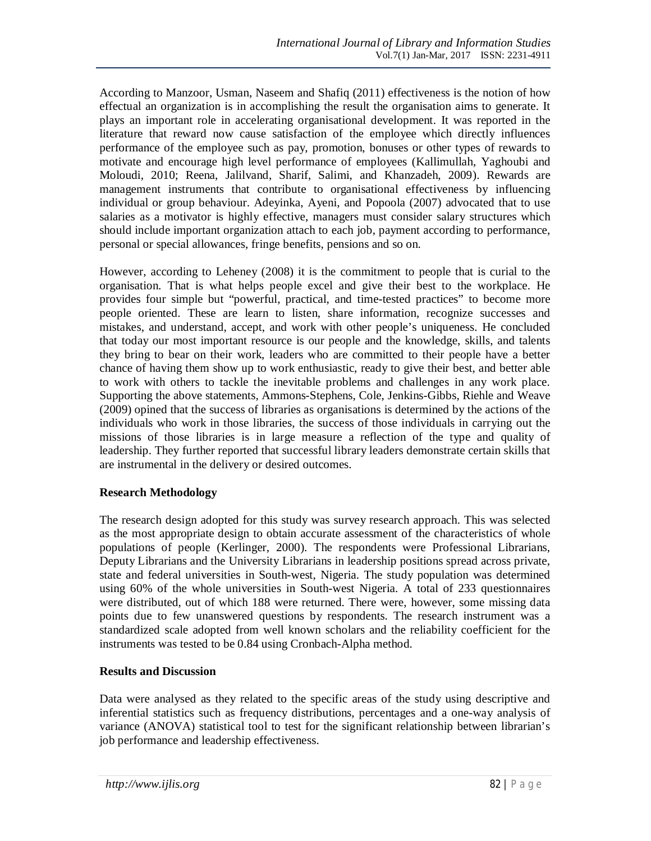According to Manzoor, Usman, Naseem and Shafiq (2011) effectiveness is the notion of how effectual an organization is in accomplishing the result the organisation aims to generate. It plays an important role in accelerating organisational development. It was reported in the literature that reward now cause satisfaction of the employee which directly influences performance of the employee such as pay, promotion, bonuses or other types of rewards to motivate and encourage high level performance of employees (Kallimullah, Yaghoubi and Moloudi, 2010; Reena, Jalilvand, Sharif, Salimi, and Khanzadeh, 2009). Rewards are management instruments that contribute to organisational effectiveness by influencing individual or group behaviour. Adeyinka, Ayeni, and Popoola (2007) advocated that to use salaries as a motivator is highly effective, managers must consider salary structures which should include important organization attach to each job, payment according to performance, personal or special allowances, fringe benefits, pensions and so on.

However, according to Leheney (2008) it is the commitment to people that is curial to the organisation. That is what helps people excel and give their best to the workplace. He provides four simple but "powerful, practical, and time-tested practices" to become more people oriented. These are learn to listen, share information, recognize successes and mistakes, and understand, accept, and work with other people's uniqueness. He concluded that today our most important resource is our people and the knowledge, skills, and talents they bring to bear on their work, leaders who are committed to their people have a better chance of having them show up to work enthusiastic, ready to give their best, and better able to work with others to tackle the inevitable problems and challenges in any work place. Supporting the above statements, Ammons-Stephens, Cole, Jenkins-Gibbs, Riehle and Weave (2009) opined that the success of libraries as organisations is determined by the actions of the individuals who work in those libraries, the success of those individuals in carrying out the missions of those libraries is in large measure a reflection of the type and quality of leadership. They further reported that successful library leaders demonstrate certain skills that are instrumental in the delivery or desired outcomes.

#### **Research Methodology**

The research design adopted for this study was survey research approach. This was selected as the most appropriate design to obtain accurate assessment of the characteristics of whole populations of people (Kerlinger, 2000). The respondents were Professional Librarians, Deputy Librarians and the University Librarians in leadership positions spread across private, state and federal universities in South-west, Nigeria. The study population was determined using 60% of the whole universities in South-west Nigeria. A total of 233 questionnaires were distributed, out of which 188 were returned. There were, however, some missing data points due to few unanswered questions by respondents. The research instrument was a standardized scale adopted from well known scholars and the reliability coefficient for the instruments was tested to be 0.84 using Cronbach-Alpha method.

### **Results and Discussion**

Data were analysed as they related to the specific areas of the study using descriptive and inferential statistics such as frequency distributions, percentages and a one-way analysis of variance (ANOVA) statistical tool to test for the significant relationship between librarian's job performance and leadership effectiveness.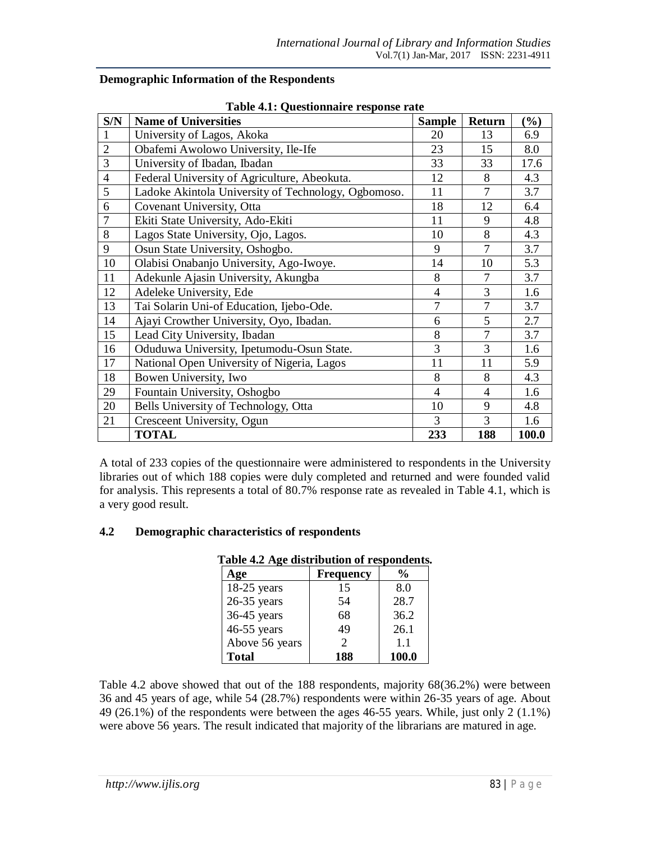|                | Table 4.1: Questionnaire response rate              |                |                |        |  |  |  |  |  |  |
|----------------|-----------------------------------------------------|----------------|----------------|--------|--|--|--|--|--|--|
| S/N            | <b>Name of Universities</b>                         | <b>Sample</b>  | Return         | $(\%)$ |  |  |  |  |  |  |
| 1              | University of Lagos, Akoka                          | 20             | 13             | 6.9    |  |  |  |  |  |  |
| $\overline{2}$ | Obafemi Awolowo University, Ile-Ife                 | 23             | 15             | 8.0    |  |  |  |  |  |  |
| 3              | University of Ibadan, Ibadan                        | 33             | 33             | 17.6   |  |  |  |  |  |  |
| $\overline{4}$ | Federal University of Agriculture, Abeokuta.        | 12             | 8              | 4.3    |  |  |  |  |  |  |
| 5              | Ladoke Akintola University of Technology, Ogbomoso. | 11             | 7              | 3.7    |  |  |  |  |  |  |
| 6              | Covenant University, Otta                           | 18             | 12             | 6.4    |  |  |  |  |  |  |
| 7              | Ekiti State University, Ado-Ekiti                   | 11             | 9              | 4.8    |  |  |  |  |  |  |
| 8              | Lagos State University, Ojo, Lagos.                 | 10             | 8              | 4.3    |  |  |  |  |  |  |
| 9              | Osun State University, Oshogbo.                     | 9              | $\overline{7}$ | 3.7    |  |  |  |  |  |  |
| 10             | Olabisi Onabanjo University, Ago-Iwoye.             | 14             | 10             | 5.3    |  |  |  |  |  |  |
| 11             | Adekunle Ajasin University, Akungba                 | 8              | 7              | 3.7    |  |  |  |  |  |  |
| 12             | Adeleke University, Ede                             | $\overline{4}$ | 3              | 1.6    |  |  |  |  |  |  |
| 13             | Tai Solarin Uni-of Education, Ijebo-Ode.            | 7              | 7              | 3.7    |  |  |  |  |  |  |
| 14             | Ajayi Crowther University, Oyo, Ibadan.             | 6              | 5              | 2.7    |  |  |  |  |  |  |
| 15             | Lead City University, Ibadan                        | 8              | $\overline{7}$ | 3.7    |  |  |  |  |  |  |
| 16             | Oduduwa University, Ipetumodu-Osun State.           | 3              | 3              | 1.6    |  |  |  |  |  |  |
| 17             | National Open University of Nigeria, Lagos          | 11             | 11             | 5.9    |  |  |  |  |  |  |
| 18             | Bowen University, Iwo                               | 8              | 8              | 4.3    |  |  |  |  |  |  |
| 29             | Fountain University, Oshogbo                        | $\overline{4}$ | $\overline{4}$ | 1.6    |  |  |  |  |  |  |
| 20             | Bells University of Technology, Otta                | 10             | 9              | 4.8    |  |  |  |  |  |  |
| 21             | Cresceent University, Ogun                          | 3              | 3              | 1.6    |  |  |  |  |  |  |
|                | <b>TOTAL</b>                                        | 233            | 188            | 100.0  |  |  |  |  |  |  |

# **Demographic Information of the Respondents**

A total of 233 copies of the questionnaire were administered to respondents in the University libraries out of which 188 copies were duly completed and returned and were founded valid for analysis. This represents a total of 80.7% response rate as revealed in Table 4.1, which is a very good result.

## **4.2 Demographic characteristics of respondents**

# **Table 4.2 Age distribution of respondents.**

| Age            | <b>Frequency</b> | $\frac{0}{0}$ |
|----------------|------------------|---------------|
| $18-25$ years  | 15               | 8.0           |
| $26-35$ years  | 54               | 28.7          |
| 36-45 years    | 68               | 36.2          |
| 46-55 years    | 49               | 26.1          |
| Above 56 years | $\mathcal{D}$    | 1.1           |
| <b>Total</b>   | 188              | 100.0         |

Table 4.2 above showed that out of the 188 respondents, majority 68(36.2%) were between 36 and 45 years of age, while 54 (28.7%) respondents were within 26-35 years of age. About 49 (26.1%) of the respondents were between the ages 46-55 years. While, just only 2 (1.1%) were above 56 years. The result indicated that majority of the librarians are matured in age.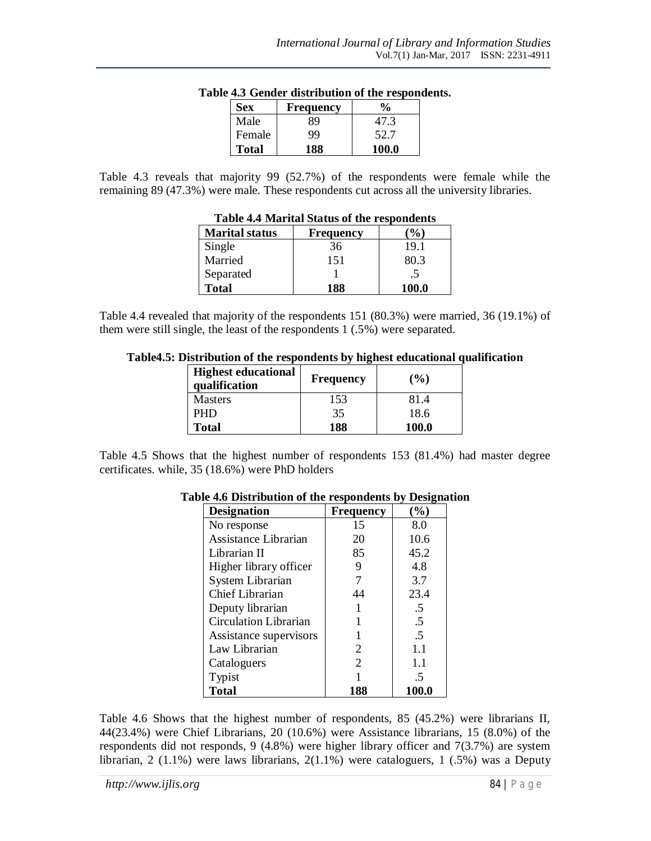| <b>Sex</b>   | <b>Frequency</b> |       |
|--------------|------------------|-------|
| Male         | 89               | 47.3  |
| Female       | 99               | 52.7  |
| <b>Total</b> | 188              | 100.0 |

#### **Table 4.3 Gender distribution of the respondents.**

Table 4.3 reveals that majority 99 (52.7%) of the respondents were female while the remaining 89 (47.3%) were male. These respondents cut across all the university libraries.

| <b>Lavic 4.4</b> Ividition Status of the respondents |           |       |  |  |  |  |  |  |  |
|------------------------------------------------------|-----------|-------|--|--|--|--|--|--|--|
| <b>Marital status</b>                                | Frequency | $\%$  |  |  |  |  |  |  |  |
| Single                                               | 36        | 19.1  |  |  |  |  |  |  |  |
| Married                                              | 151       | 80.3  |  |  |  |  |  |  |  |
| Separated                                            |           | .5    |  |  |  |  |  |  |  |
| <b>Total</b>                                         | 188       | 100.0 |  |  |  |  |  |  |  |

## **Table 4.4 Marital Status of the respondents**

Table 4.4 revealed that majority of the respondents 151 (80.3%) were married, 36 (19.1%) of them were still single, the least of the respondents 1 (.5%) were separated.

| Table4.5: Distribution of the respondents by highest educational qualification |  |  |
|--------------------------------------------------------------------------------|--|--|
|--------------------------------------------------------------------------------|--|--|

| <b>Highest educational</b><br>qualification | <b>Frequency</b> | $($ %)       |
|---------------------------------------------|------------------|--------------|
| <b>Masters</b>                              | 153              | 81.4         |
| <b>PHD</b>                                  | 35               | 18.6         |
| <b>Total</b>                                | 188              | <b>100.0</b> |

Table 4.5 Shows that the highest number of respondents 153 (81.4%) had master degree certificates. while, 35 (18.6%) were PhD holders

| <b>Designation</b>           | <b>Frequency</b> | $(\%)$ |
|------------------------------|------------------|--------|
| No response                  | 15               | 8.0    |
| Assistance Librarian         | 20               | 10.6   |
| Librarian II                 | 85               | 45.2   |
| Higher library officer       | 9                | 4.8    |
| System Librarian             | 7                | 3.7    |
| Chief Librarian              | 44               | 23.4   |
| Deputy librarian             |                  | .5     |
| <b>Circulation Librarian</b> |                  | .5     |
| Assistance supervisors       |                  | .5     |
| Law Librarian                | 2                | 1.1    |
| Cataloguers                  | $\overline{2}$   | 1.1    |
| Typist                       |                  | .5     |
| <b>Total</b>                 | 188              | 100.0  |

#### **Table 4.6 Distribution of the respondents by Designation**

Table 4.6 Shows that the highest number of respondents, 85 (45.2%) were librarians II, 44(23.4%) were Chief Librarians, 20 (10.6%) were Assistance librarians, 15 (8.0%) of the respondents did not responds, 9 (4.8%) were higher library officer and 7(3.7%) are system librarian, 2 (1.1%) were laws librarians,  $2(1.1\%)$  were cataloguers, 1 (.5%) was a Deputy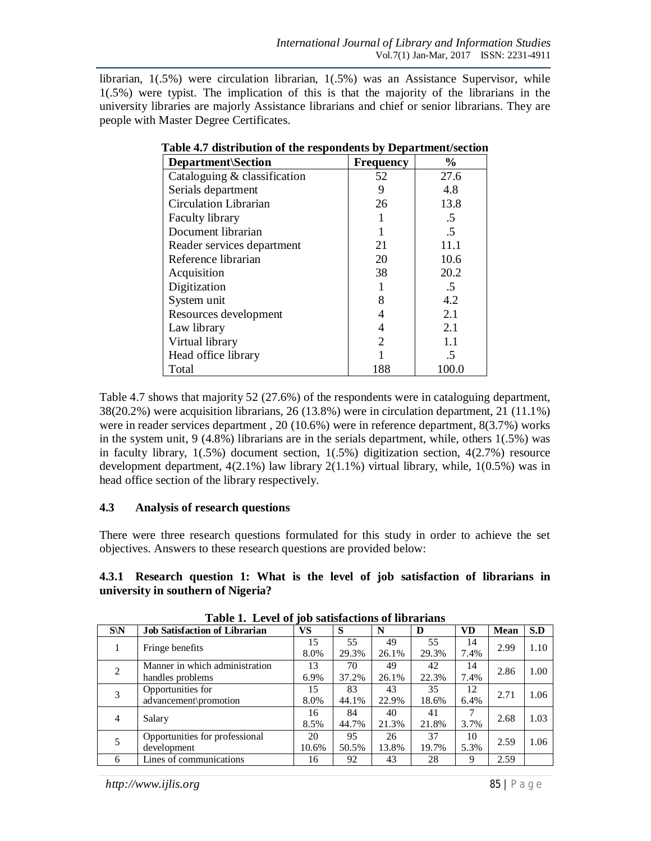librarian, 1(.5%) were circulation librarian, 1(.5%) was an Assistance Supervisor, while 1(.5%) were typist. The implication of this is that the majority of the librarians in the university libraries are majorly Assistance librarians and chief or senior librarians. They are people with Master Degree Certificates.

| <b>Department</b> \Section   | <b>Frequency</b> | $\frac{6}{9}$ |
|------------------------------|------------------|---------------|
| Cataloguing & classification | 52               | 27.6          |
| Serials department           | 9                | 4.8           |
| <b>Circulation Librarian</b> | 26               | 13.8          |
| <b>Faculty library</b>       |                  | .5            |
| Document librarian           |                  | .5            |
| Reader services department   | 21               | 11.1          |
| Reference librarian          | 20               | 10.6          |
| Acquisition                  | 38               | 20.2          |
| Digitization                 |                  | .5            |
| System unit                  | 8                | 4.2           |
| Resources development        | 4                | 2.1           |
| Law library                  | 4                | 2.1           |
| Virtual library              | 2                | 1.1           |
| Head office library          |                  | .5            |
| Total                        | 188              | 100.0         |

**Table 4.7 distribution of the respondents by Department/section**

Table 4.7 shows that majority 52 (27.6%) of the respondents were in cataloguing department, 38(20.2%) were acquisition librarians, 26 (13.8%) were in circulation department, 21 (11.1%) were in reader services department , 20 (10.6%) were in reference department, 8(3.7%) works in the system unit, 9 (4.8%) librarians are in the serials department, while, others 1(.5%) was in faculty library,  $1(.5%)$  document section,  $1(.5%)$  digitization section,  $4(2.7%)$  resource development department, 4(2.1%) law library 2(1.1%) virtual library, while, 1(0.5%) was in head office section of the library respectively.

#### **4.3 Analysis of research questions**

There were three research questions formulated for this study in order to achieve the set objectives. Answers to these research questions are provided below:

|                                    |  |  |  |  | 4.3.1 Research question 1: What is the level of job satisfaction of librarians in |  |  |
|------------------------------------|--|--|--|--|-----------------------------------------------------------------------------------|--|--|
| university in southern of Nigeria? |  |  |  |  |                                                                                   |  |  |

| $S\backslash N$ | <b>Job Satisfaction of Librarian</b> | <b>VS</b> | S     | N     | D     | <b>VD</b> | <b>Mean</b> | S.D  |
|-----------------|--------------------------------------|-----------|-------|-------|-------|-----------|-------------|------|
|                 | Fringe benefits                      | 15        | 55    | 49    | 55    | 14        | 2.99        | 1.10 |
|                 |                                      | 8.0%      | 29.3% | 26.1% | 29.3% | 7.4%      |             |      |
| $\overline{2}$  | Manner in which administration       | 13        | 70    | 49    | 42    | 14        | 2.86        | 1.00 |
|                 | handles problems                     | 6.9%      | 37.2% | 26.1% | 22.3% | 7.4%      |             |      |
| 3               | Opportunities for                    | 15        | 83    | 43    | 35    | 12        | 2.71        | 1.06 |
|                 | advancement\promotion                | 8.0%      | 44.1% | 22.9% | 18.6% | 6.4%      |             |      |
| 4               | Salary                               | 16        | 84    | 40    | 41    | 7         | 2.68        | 1.03 |
|                 |                                      | 8.5%      | 44.7% | 21.3% | 21.8% | 3.7%      |             |      |
|                 | Opportunities for professional       | 20        | 95    | 26    | 37    | 10        | 2.59        | 1.06 |
|                 | development                          | 10.6%     | 50.5% | 13.8% | 19.7% | 5.3%      |             |      |
| 6               | Lines of communications              | 16        | 92    | 43    | 28    | 9         | 2.59        |      |

**Table 1. Level of job satisfactions of librarians**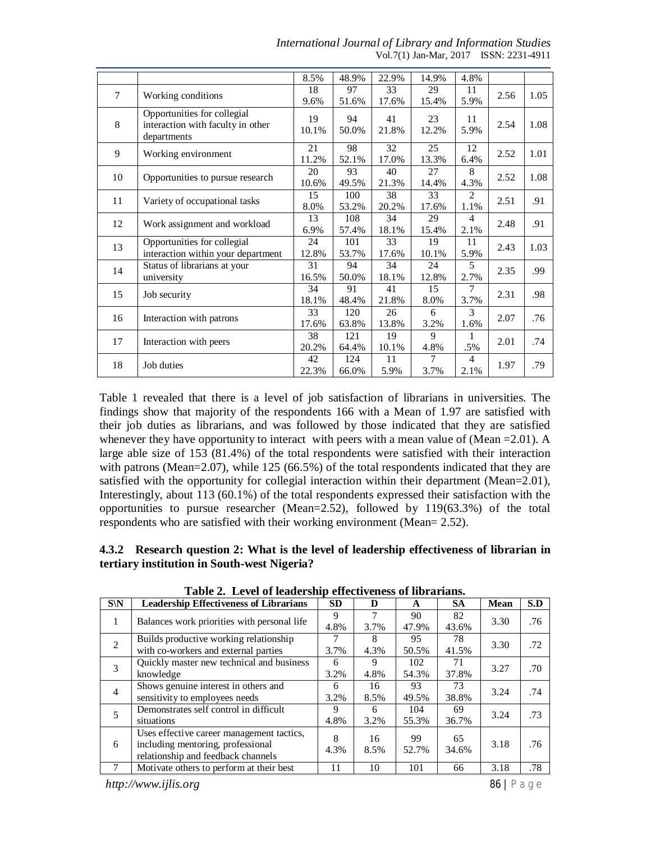|        |                                    | 8.5%  | 48.9% | 22.9% | 14.9% | 4.8%           |      |      |
|--------|------------------------------------|-------|-------|-------|-------|----------------|------|------|
| $\tau$ | Working conditions                 | 18    | 97    | 33    | 29    | 11             | 2.56 | 1.05 |
|        |                                    | 9.6%  | 51.6% | 17.6% | 15.4% | 5.9%           |      |      |
|        | Opportunities for collegial        | 19    | 94    | 41    | 23    | 11             |      |      |
| 8      | interaction with faculty in other  | 10.1% | 50.0% | 21.8% | 12.2% | 5.9%           | 2.54 | 1.08 |
|        | departments                        |       |       |       |       |                |      |      |
| 9      | Working environment                | 21    | 98    | 32    | 25    | 12             | 2.52 | 1.01 |
|        |                                    | 11.2% | 52.1% | 17.0% | 13.3% | 6.4%           |      |      |
| 10     | Opportunities to pursue research   | 20    | 93    | 40    | 27    | 8              | 2.52 | 1.08 |
|        |                                    | 10.6% | 49.5% | 21.3% | 14.4% | 4.3%           |      |      |
| 11     | Variety of occupational tasks      | 15    | 100   | 38    | 33    | 2              | 2.51 | .91  |
|        |                                    | 8.0%  | 53.2% | 20.2% | 17.6% | 1.1%           |      |      |
| 12     | Work assignment and workload       | 13    | 108   | 34    | 29    | $\overline{4}$ | 2.48 | .91  |
|        |                                    | 6.9%  | 57.4% | 18.1% | 15.4% | 2.1%           |      |      |
| 13     | Opportunities for collegial        | 24    | 101   | 33    | 19    | 11             | 2.43 | 1.03 |
|        | interaction within your department | 12.8% | 53.7% | 17.6% | 10.1% | 5.9%           |      |      |
| 14     | Status of librarians at your       | 31    | 94    | 34    | 24    | 5              | 2.35 | .99  |
|        | university                         | 16.5% | 50.0% | 18.1% | 12.8% | 2.7%           |      |      |
| 15     | Job security                       | 34    | 91    | 41    | 15    | 7              | 2.31 | .98  |
|        |                                    | 18.1% | 48.4% | 21.8% | 8.0%  | 3.7%           |      |      |
| 16     |                                    | 33    | 120   | 26    | 6     | 3              | 2.07 | .76  |
|        | Interaction with patrons           | 17.6% | 63.8% | 13.8% | 3.2%  | 1.6%           |      |      |
| 17     |                                    | 38    | 121   | 19    | 9     | 1              | 2.01 | .74  |
|        | Interaction with peers             | 20.2% | 64.4% | 10.1% | 4.8%  | .5%            |      |      |
| 18     | Job duties                         | 42    | 124   | 11    | 7     | $\overline{4}$ | 1.97 | .79  |
|        |                                    | 22.3% | 66.0% | 5.9%  | 3.7%  | 2.1%           |      |      |

*International Journal of Library and Information Studies* Vol.7(1) Jan-Mar, 2017 ISSN: 2231-4911

Table 1 revealed that there is a level of job satisfaction of librarians in universities. The findings show that majority of the respondents 166 with a Mean of 1.97 are satisfied with their job duties as librarians, and was followed by those indicated that they are satisfied whenever they have opportunity to interact with peers with a mean value of (Mean =  $2.01$ ). A large able size of 153 (81.4%) of the total respondents were satisfied with their interaction with patrons (Mean=2.07), while 125 (66.5%) of the total respondents indicated that they are satisfied with the opportunity for collegial interaction within their department (Mean=2.01), Interestingly, about 113 (60.1%) of the total respondents expressed their satisfaction with the opportunities to pursue researcher (Mean=2.52), followed by 119(63.3%) of the total respondents who are satisfied with their working environment (Mean= 2.52).

### **4.3.2 Research question 2: What is the level of leadership effectiveness of librarian in tertiary institution in South-west Nigeria?**

| $S\backslash N$ | <b>Leadership Effectiveness of Librarians</b>                                                                        | <b>SD</b> | D          | A            | <b>SA</b>   | <b>Mean</b> | S.D |
|-----------------|----------------------------------------------------------------------------------------------------------------------|-----------|------------|--------------|-------------|-------------|-----|
| 1               | Balances work priorities with personal life                                                                          | 9<br>4.8% | 7<br>3.7%  | 90<br>47.9%  | 82<br>43.6% | 3.30        | .76 |
| $\mathfrak{D}$  | Builds productive working relationship<br>with co-workers and external parties                                       | 7<br>3.7% | 8<br>4.3%  | 95<br>50.5%  | 78<br>41.5% | 3.30        | .72 |
| 3               | Quickly master new technical and business<br>knowledge                                                               | 6<br>3.2% | 9<br>4.8%  | 102<br>54.3% | 71<br>37.8% | 3.27        | .70 |
| $\overline{4}$  | Shows genuine interest in others and<br>sensitivity to employees needs                                               | 6<br>3.2% | 16<br>8.5% | 93<br>49.5%  | 73<br>38.8% | 3.24        | .74 |
| 5               | Demonstrates self control in difficult<br>situations                                                                 | 9<br>4.8% | 6<br>3.2%  | 104<br>55.3% | 69<br>36.7% | 3.24        | .73 |
| 6               | Uses effective career management tactics.<br>including mentoring, professional<br>relationship and feedback channels | 8<br>4.3% | 16<br>8.5% | 99<br>52.7%  | 65<br>34.6% | 3.18        | .76 |
|                 | Motivate others to perform at their best                                                                             | 11        | 10         | 101          | 66          | 3.18        | .78 |

**Table 2. Level of leadership effectiveness of librarians.**

*http://www.ijlis.org* 86 | P a g e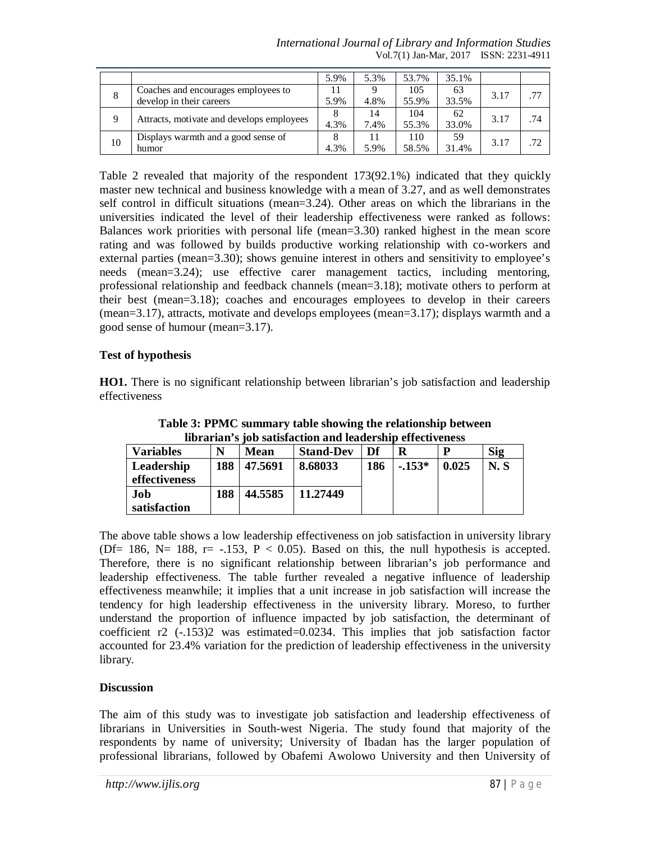*International Journal of Library and Information Studies* Vol.7(1) Jan-Mar, 2017 ISSN: 2231-4911

|    |                                           | 5.9% | 5.3% | 53.7% | 35.1% |      |     |
|----|-------------------------------------------|------|------|-------|-------|------|-----|
| 8  | Coaches and encourages employees to       |      |      | 105   | 63    | 3.17 | .77 |
|    | develop in their careers                  | 5.9% | 4.8% | 55.9% | 33.5% |      |     |
|    | Attracts, motivate and develops employees |      | 14   | 104   | 62    | 3.17 | .74 |
|    |                                           | 4.3% | 7.4% | 55.3% | 33.0% |      |     |
| 10 | Displays warmth and a good sense of       |      |      | 110   | 59    | 3.17 | .72 |
|    | humor                                     | 4.3% | 5.9% | 58.5% | 31.4% |      |     |

Table 2 revealed that majority of the respondent 173(92.1%) indicated that they quickly master new technical and business knowledge with a mean of 3.27, and as well demonstrates self control in difficult situations (mean=3.24). Other areas on which the librarians in the universities indicated the level of their leadership effectiveness were ranked as follows: Balances work priorities with personal life (mean=3.30) ranked highest in the mean score rating and was followed by builds productive working relationship with co-workers and external parties (mean=3.30); shows genuine interest in others and sensitivity to employee's needs (mean=3.24); use effective carer management tactics, including mentoring, professional relationship and feedback channels (mean=3.18); motivate others to perform at their best (mean=3.18); coaches and encourages employees to develop in their careers (mean=3.17), attracts, motivate and develops employees (mean=3.17); displays warmth and a good sense of humour (mean=3.17).

### **Test of hypothesis**

**HO1.** There is no significant relationship between librarian's job satisfaction and leadership effectiveness

| norarian s job sausiaction and readership effectiveness |     |         |                  |     |         |       |            |  |  |  |  |
|---------------------------------------------------------|-----|---------|------------------|-----|---------|-------|------------|--|--|--|--|
| <b>Variables</b>                                        | N   | Mean    | <b>Stand-Dev</b> | Df  |         |       | <b>Sig</b> |  |  |  |  |
| Leadership<br>effectiveness                             | 188 | 47.5691 | 8.68033          | 186 | $-153*$ | 0.025 | N. S       |  |  |  |  |
| Job<br>satisfaction                                     | 188 | 44.5585 | 11.27449         |     |         |       |            |  |  |  |  |

**Table 3: PPMC summary table showing the relationship between librarian's job satisfaction and leadership effectiveness**

The above table shows a low leadership effectiveness on job satisfaction in university library (Df= 186, N= 188, r=  $-153$ , P < 0.05). Based on this, the null hypothesis is accepted. Therefore, there is no significant relationship between librarian's job performance and leadership effectiveness. The table further revealed a negative influence of leadership effectiveness meanwhile; it implies that a unit increase in job satisfaction will increase the tendency for high leadership effectiveness in the university library. Moreso, to further understand the proportion of influence impacted by job satisfaction, the determinant of coefficient r2 (-.153)2 was estimated=0.0234. This implies that job satisfaction factor accounted for 23.4% variation for the prediction of leadership effectiveness in the university library.

### **Discussion**

The aim of this study was to investigate job satisfaction and leadership effectiveness of librarians in Universities in South-west Nigeria. The study found that majority of the respondents by name of university; University of Ibadan has the larger population of professional librarians, followed by Obafemi Awolowo University and then University of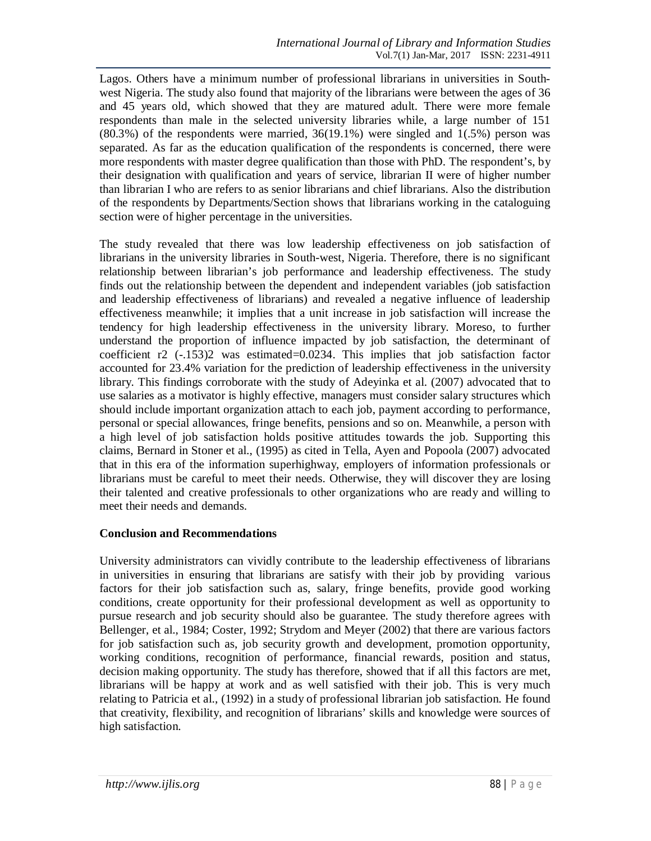Lagos. Others have a minimum number of professional librarians in universities in Southwest Nigeria. The study also found that majority of the librarians were between the ages of 36 and 45 years old, which showed that they are matured adult. There were more female respondents than male in the selected university libraries while, a large number of 151 (80.3%) of the respondents were married, 36(19.1%) were singled and 1(.5%) person was separated. As far as the education qualification of the respondents is concerned, there were more respondents with master degree qualification than those with PhD. The respondent's, by their designation with qualification and years of service, librarian II were of higher number than librarian I who are refers to as senior librarians and chief librarians. Also the distribution of the respondents by Departments/Section shows that librarians working in the cataloguing section were of higher percentage in the universities.

The study revealed that there was low leadership effectiveness on job satisfaction of librarians in the university libraries in South-west, Nigeria. Therefore, there is no significant relationship between librarian's job performance and leadership effectiveness. The study finds out the relationship between the dependent and independent variables (job satisfaction and leadership effectiveness of librarians) and revealed a negative influence of leadership effectiveness meanwhile; it implies that a unit increase in job satisfaction will increase the tendency for high leadership effectiveness in the university library. Moreso, to further understand the proportion of influence impacted by job satisfaction, the determinant of coefficient r2 (-.153)2 was estimated=0.0234. This implies that job satisfaction factor accounted for 23.4% variation for the prediction of leadership effectiveness in the university library. This findings corroborate with the study of Adeyinka et al. (2007) advocated that to use salaries as a motivator is highly effective, managers must consider salary structures which should include important organization attach to each job, payment according to performance, personal or special allowances, fringe benefits, pensions and so on. Meanwhile, a person with a high level of job satisfaction holds positive attitudes towards the job. Supporting this claims, Bernard in Stoner et al., (1995) as cited in Tella, Ayen and Popoola (2007) advocated that in this era of the information superhighway, employers of information professionals or librarians must be careful to meet their needs. Otherwise, they will discover they are losing their talented and creative professionals to other organizations who are ready and willing to meet their needs and demands.

### **Conclusion and Recommendations**

University administrators can vividly contribute to the leadership effectiveness of librarians in universities in ensuring that librarians are satisfy with their job by providing various factors for their job satisfaction such as, salary, fringe benefits, provide good working conditions, create opportunity for their professional development as well as opportunity to pursue research and job security should also be guarantee. The study therefore agrees with Bellenger, et al., 1984; Coster, 1992; Strydom and Meyer (2002) that there are various factors for job satisfaction such as, job security growth and development, promotion opportunity, working conditions, recognition of performance, financial rewards, position and status, decision making opportunity. The study has therefore, showed that if all this factors are met, librarians will be happy at work and as well satisfied with their job. This is very much relating to Patricia et al., (1992) in a study of professional librarian job satisfaction. He found that creativity, flexibility, and recognition of librarians' skills and knowledge were sources of high satisfaction.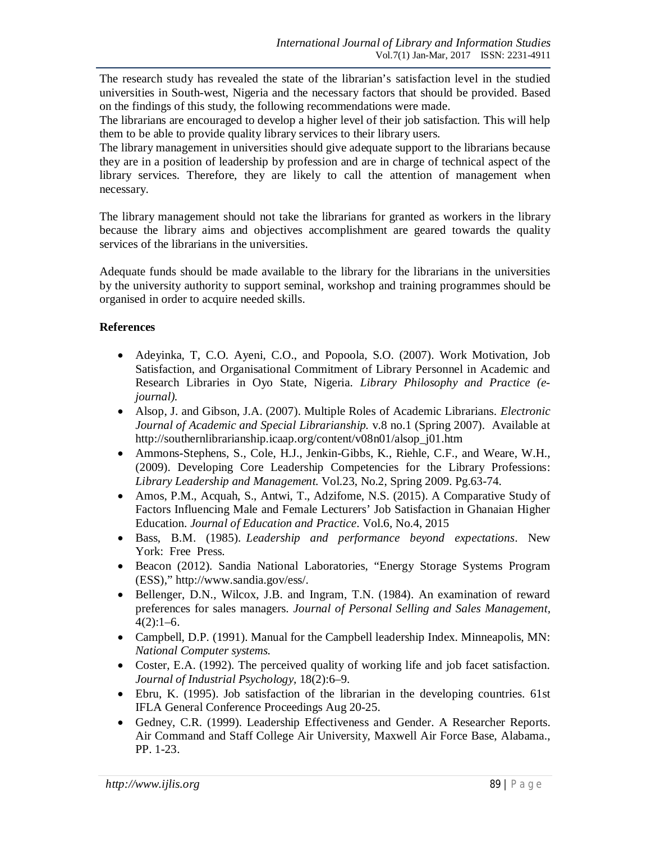The research study has revealed the state of the librarian's satisfaction level in the studied universities in South-west, Nigeria and the necessary factors that should be provided. Based on the findings of this study, the following recommendations were made.

The librarians are encouraged to develop a higher level of their job satisfaction. This will help them to be able to provide quality library services to their library users.

The library management in universities should give adequate support to the librarians because they are in a position of leadership by profession and are in charge of technical aspect of the library services. Therefore, they are likely to call the attention of management when necessary.

The library management should not take the librarians for granted as workers in the library because the library aims and objectives accomplishment are geared towards the quality services of the librarians in the universities.

Adequate funds should be made available to the library for the librarians in the universities by the university authority to support seminal, workshop and training programmes should be organised in order to acquire needed skills.

## **References**

- Adeyinka, T, C.O. Ayeni, C.O., and Popoola, S.O. (2007). Work Motivation, Job Satisfaction, and Organisational Commitment of Library Personnel in Academic and Research Libraries in Oyo State, Nigeria. *Library Philosophy and Practice (ejournal).*
- Alsop, J. and Gibson, J.A. (2007). Multiple Roles of Academic Librarians. *Electronic Journal of Academic and Special Librarianship.* v.8 no.1 (Spring 2007). Available at http://southernlibrarianship.icaap.org/content/v08n01/alsop\_j01.htm
- Ammons-Stephens, S., Cole, H.J., Jenkin-Gibbs, K., Riehle, C.F., and Weare, W.H., (2009). Developing Core Leadership Competencies for the Library Professions: *Library Leadership and Management.* Vol.23, No.2, Spring 2009. Pg.63-74.
- Amos, P.M., Acquah, S., Antwi, T., Adzifome, N.S. (2015). A Comparative Study of Factors Influencing Male and Female Lecturers' Job Satisfaction in Ghanaian Higher Education. *Journal of Education and Practice*. Vol.6, No.4, 2015
- Bass, B.M. (1985). *Leadership and performance beyond expectations*. New York: Free Press.
- Beacon (2012). Sandia National Laboratories, "Energy Storage Systems Program (ESS)," http://www.sandia.gov/ess/.
- Bellenger, D.N., Wilcox, J.B. and Ingram, T.N. (1984). An examination of reward preferences for sales managers. *Journal of Personal Selling and Sales Management,*  $4(2):1-6.$
- Campbell, D.P. (1991). Manual for the Campbell leadership Index. Minneapolis, MN: *National Computer systems.*
- Coster, E.A. (1992). The perceived quality of working life and job facet satisfaction. *Journal of Industrial Psychology,* 18(2):6–9.
- Ebru, K. (1995). Job satisfaction of the librarian in the developing countries. 61st IFLA General Conference Proceedings Aug 20-25.
- Gedney, C.R. (1999). Leadership Effectiveness and Gender. A Researcher Reports. Air Command and Staff College Air University, Maxwell Air Force Base, Alabama., PP. 1-23.